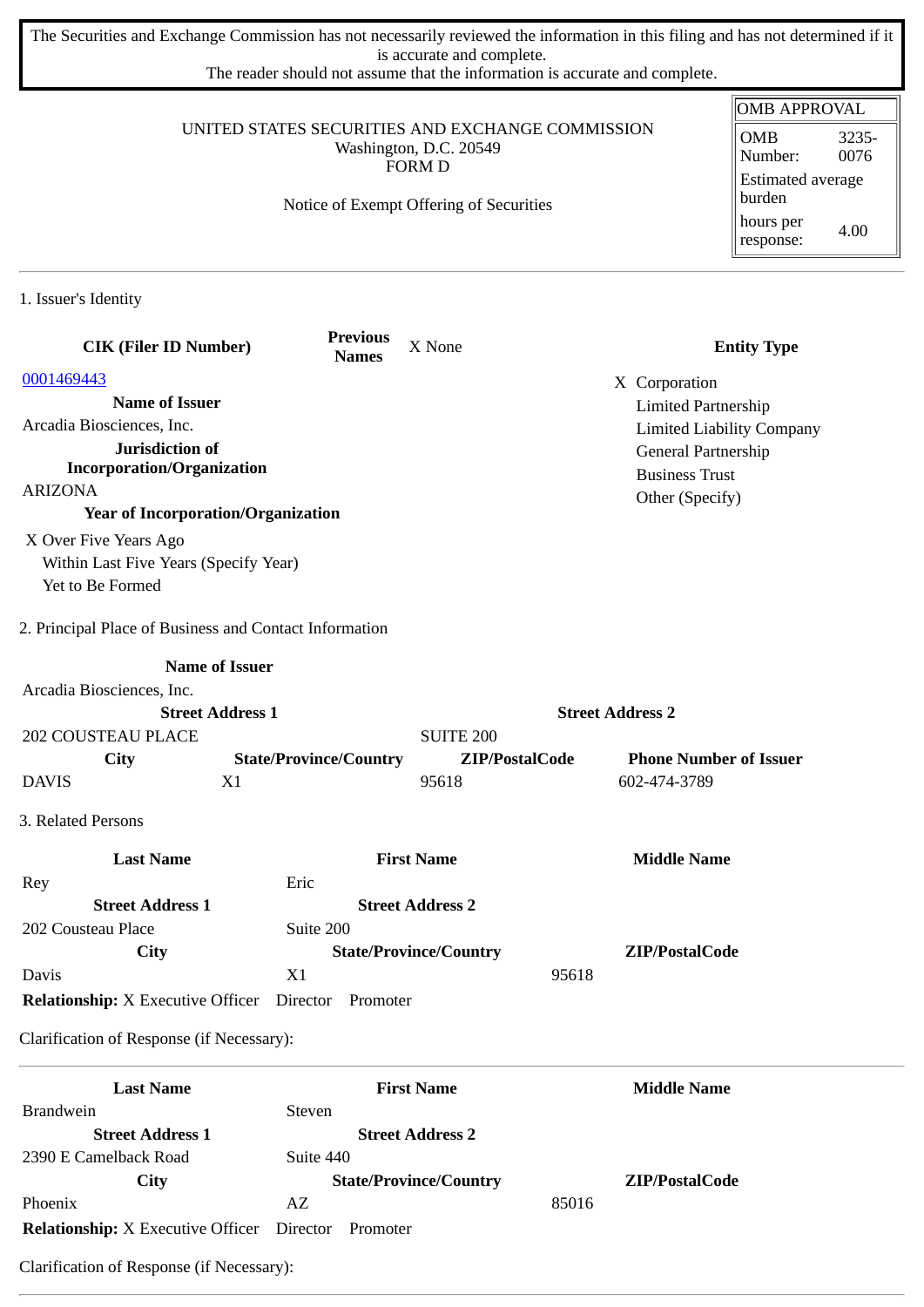The Securities and Exchange Commission has not necessarily reviewed the information in this filing and has not determined if it is accurate and complete.

The reader should not assume that the information is accurate and complete.

|                                                                                                                                        |                                           | <b>OMB APPROVAL</b>           |                            |                                        |
|----------------------------------------------------------------------------------------------------------------------------------------|-------------------------------------------|-------------------------------|----------------------------|----------------------------------------|
| UNITED STATES SECURITIES AND EXCHANGE COMMISSION<br>Washington, D.C. 20549<br><b>FORM D</b><br>Notice of Exempt Offering of Securities |                                           |                               |                            | <b>OMB</b><br>3235-<br>0076<br>Number: |
|                                                                                                                                        |                                           |                               |                            | Estimated average<br>burden            |
|                                                                                                                                        |                                           |                               |                            | hours per<br>4.00<br>response:         |
| 1. Issuer's Identity                                                                                                                   |                                           |                               |                            |                                        |
| <b>CIK (Filer ID Number)</b>                                                                                                           | <b>Previous</b><br><b>Names</b>           | X None                        |                            | <b>Entity Type</b>                     |
| 0001469443                                                                                                                             |                                           |                               | X Corporation              |                                        |
| <b>Name of Issuer</b>                                                                                                                  |                                           |                               | <b>Limited Partnership</b> |                                        |
| Arcadia Biosciences, Inc.                                                                                                              |                                           |                               |                            | <b>Limited Liability Company</b>       |
| Jurisdiction of                                                                                                                        |                                           |                               | General Partnership        |                                        |
| <b>Incorporation/Organization</b>                                                                                                      |                                           |                               | <b>Business Trust</b>      |                                        |
| <b>ARIZONA</b>                                                                                                                         |                                           |                               | Other (Specify)            |                                        |
|                                                                                                                                        | <b>Year of Incorporation/Organization</b> |                               |                            |                                        |
| X Over Five Years Ago                                                                                                                  |                                           |                               |                            |                                        |
| Within Last Five Years (Specify Year)                                                                                                  |                                           |                               |                            |                                        |
| Yet to Be Formed                                                                                                                       |                                           |                               |                            |                                        |
| 2. Principal Place of Business and Contact Information                                                                                 |                                           |                               |                            |                                        |
|                                                                                                                                        | <b>Name of Issuer</b>                     |                               |                            |                                        |
| Arcadia Biosciences, Inc.                                                                                                              |                                           |                               |                            |                                        |
|                                                                                                                                        | <b>Street Address 1</b>                   |                               | <b>Street Address 2</b>    |                                        |
| <b>202 COUSTEAU PLACE</b>                                                                                                              |                                           | <b>SUITE 200</b>              |                            |                                        |
| City                                                                                                                                   | <b>State/Province/Country</b>             | ZIP/PostalCode                |                            | <b>Phone Number of Issuer</b>          |
| <b>DAVIS</b>                                                                                                                           | X1                                        | 95618                         | 602-474-3789               |                                        |
| 3. Related Persons                                                                                                                     |                                           |                               |                            |                                        |
| <b>Last Name</b>                                                                                                                       |                                           | <b>First Name</b>             | <b>Middle Name</b>         |                                        |
| Rey                                                                                                                                    | Eric                                      |                               |                            |                                        |
| <b>Street Address 1</b>                                                                                                                |                                           | <b>Street Address 2</b>       |                            |                                        |
| 202 Cousteau Place                                                                                                                     | Suite 200                                 |                               |                            |                                        |
| City                                                                                                                                   |                                           | <b>State/Province/Country</b> | ZIP/PostalCode             |                                        |
| Davis                                                                                                                                  | X1                                        |                               | 95618                      |                                        |
| <b>Relationship:</b> X Executive Officer Director                                                                                      | Promoter                                  |                               |                            |                                        |
| Clarification of Response (if Necessary):                                                                                              |                                           |                               |                            |                                        |
| <b>Last Name</b>                                                                                                                       |                                           | <b>First Name</b>             | <b>Middle Name</b>         |                                        |
| <b>Brandwein</b>                                                                                                                       | Steven                                    |                               |                            |                                        |
| <b>Street Address 1</b>                                                                                                                |                                           | <b>Street Address 2</b>       |                            |                                        |
| 2390 E Camelback Road                                                                                                                  | Suite 440                                 |                               |                            |                                        |
| City                                                                                                                                   |                                           | <b>State/Province/Country</b> | ZIP/PostalCode             |                                        |
| Phoenix                                                                                                                                | AZ                                        |                               | 85016                      |                                        |

**Relationship:** X Executive Officer Director Promoter

Clarification of Response (if Necessary):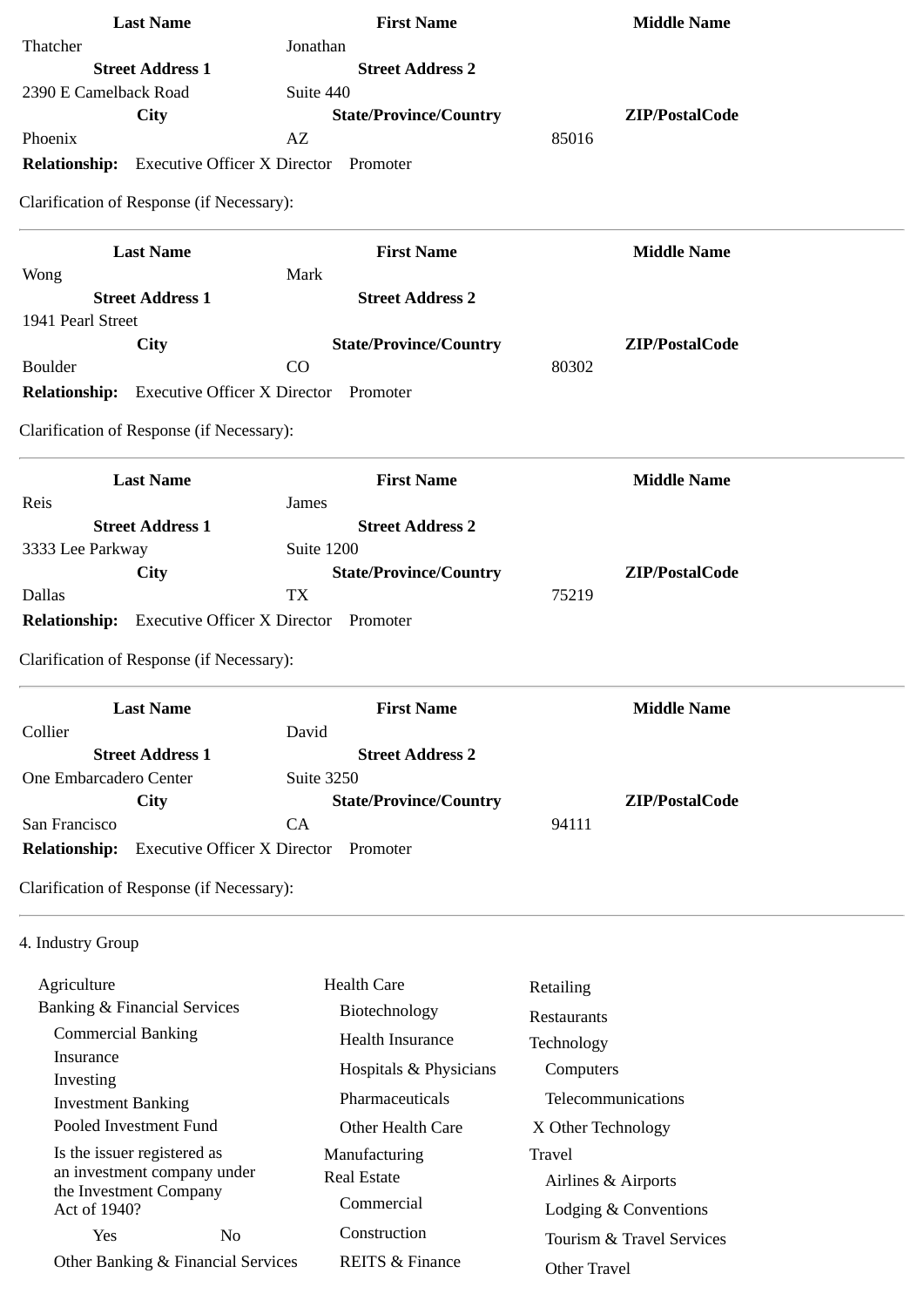| <b>Last Name</b>                                            | <b>First Name</b>             | <b>Middle Name</b>         |
|-------------------------------------------------------------|-------------------------------|----------------------------|
| Thatcher                                                    | Jonathan                      |                            |
| <b>Street Address 1</b>                                     | <b>Street Address 2</b>       |                            |
| 2390 E Camelback Road                                       | Suite 440                     |                            |
| <b>City</b>                                                 | <b>State/Province/Country</b> | ZIP/PostalCode             |
| Phoenix                                                     | AZ                            | 85016                      |
| <b>Relationship:</b><br><b>Executive Officer X Director</b> | Promoter                      |                            |
| Clarification of Response (if Necessary):                   |                               |                            |
| <b>Last Name</b>                                            | <b>First Name</b>             | <b>Middle Name</b>         |
| Wong                                                        | Mark                          |                            |
| <b>Street Address 1</b>                                     | <b>Street Address 2</b>       |                            |
| 1941 Pearl Street                                           |                               |                            |
| <b>City</b>                                                 | <b>State/Province/Country</b> | ZIP/PostalCode             |
| <b>Boulder</b>                                              | CO                            | 80302                      |
| <b>Relationship:</b> Executive Officer X Director Promoter  |                               |                            |
| Clarification of Response (if Necessary):                   |                               |                            |
| <b>Last Name</b>                                            | <b>First Name</b>             | <b>Middle Name</b>         |
| Reis                                                        | James                         |                            |
| <b>Street Address 1</b>                                     | <b>Street Address 2</b>       |                            |
| 3333 Lee Parkway                                            | Suite 1200                    |                            |
| City                                                        | <b>State/Province/Country</b> | ZIP/PostalCode             |
| <b>Dallas</b>                                               | <b>TX</b>                     | 75219                      |
| <b>Relationship:</b> Executive Officer X Director Promoter  |                               |                            |
| Clarification of Response (if Necessary):                   |                               |                            |
| <b>Last Name</b>                                            | <b>First Name</b>             | <b>Middle Name</b>         |
| Collier                                                     | David                         |                            |
| <b>Street Address 1</b>                                     | <b>Street Address 2</b>       |                            |
| One Embarcadero Center                                      | <b>Suite 3250</b>             |                            |
| City                                                        | <b>State/Province/Country</b> | ZIP/PostalCode             |
| San Francisco                                               | CA                            | 94111                      |
| <b>Relationship:</b><br><b>Executive Officer X Director</b> | Promoter                      |                            |
| Clarification of Response (if Necessary):                   |                               |                            |
| 4. Industry Group                                           |                               |                            |
| Agriculture                                                 | <b>Health Care</b>            | Retailing                  |
| <b>Banking &amp; Financial Services</b>                     | Biotechnology                 | Restaurants                |
| <b>Commercial Banking</b>                                   | Health Insurance              | Technology                 |
| Insurance                                                   |                               |                            |
| Investing                                                   | Hospitals & Physicians        | Computers                  |
| <b>Investment Banking</b>                                   | Pharmaceuticals               | Telecommunications         |
| Pooled Investment Fund                                      | Other Health Care             | X Other Technology         |
| Is the issuer registered as                                 | Manufacturing                 | Travel                     |
| an investment company under                                 | <b>Real Estate</b>            | Airlines & Airports        |
| the Investment Company<br>Act of 1940?                      | Commercial                    | Lodging & Conventions      |
| $N_0$<br>$V_{\mathsf{P}}$                                   | Construction                  | Tourism 0. Travel Corriges |

REITS & Finance

Tourism & Travel Services

Other Travel

Yes No Other Banking & Financial Services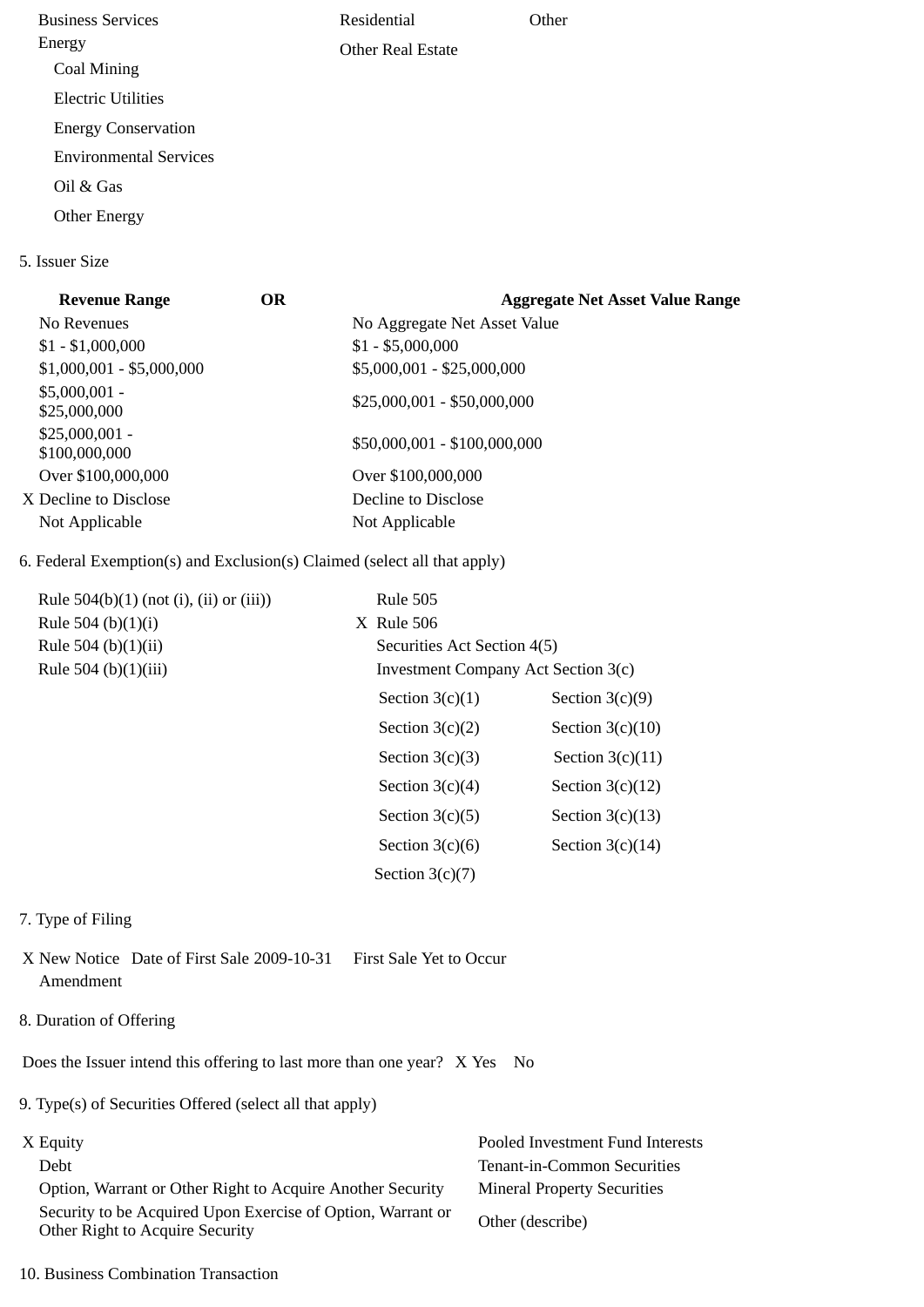Business Services Energy Coal Mining Electric Utilities Energy Conservation Environmental Services Oil & Gas Other Energy Residential Other Real Estate **Other** 

# **Revenue Range OR Aggregate Net Asset Value Range** No Revenues **No Aggregate Net Asset Value**  $$1 - $1,000,000$   $$1 - $5,000,000$ \$1,000,001 - \$5,000,000 \$5,000,001 - \$25,000,000 \$5,000,001 -  $$25,000,001 - $50,000,000$ <br> $$25,000,000$ \$25,000,001 - \$20,000,001 -<br>\$100,000,000 \$100,000,000 \$50,000,001 - \$100,000,000 Over \$100,000,000 Over \$100,000,000 X Decline to Disclose Decline to Disclose Not Applicable Not Applicable

# 6. Federal Exemption(s) and Exclusion(s) Claimed (select all that apply)

| Rule $504(b)(1)$ (not (i), (ii) or (iii)) | <b>Rule 505</b>   |                                     |  |
|-------------------------------------------|-------------------|-------------------------------------|--|
| Rule 504 (b) $(1)(i)$                     | $X$ Rule 506      |                                     |  |
| Rule 504 (b)(1)(ii)                       |                   | Securities Act Section 4(5)         |  |
| Rule 504 (b)(1)(iii)                      |                   | Investment Company Act Section 3(c) |  |
|                                           | Section $3(c)(1)$ | Section $3(c)(9)$                   |  |
|                                           | Section $3(c)(2)$ | Section $3(c)(10)$                  |  |
|                                           | Section $3(c)(3)$ | Section $3(c)(11)$                  |  |
|                                           | Section $3(c)(4)$ | Section $3(c)(12)$                  |  |
|                                           | Section $3(c)(5)$ | Section $3(c)(13)$                  |  |
|                                           | Section $3(c)(6)$ | Section $3(c)(14)$                  |  |
|                                           | Section $3(c)(7)$ |                                     |  |

### 7. Type of Filing

5. Issuer Size

X New Notice Date of First Sale 2009-10-31 First Sale Yet to Occur Amendment

8. Duration of Offering

Does the Issuer intend this offering to last more than one year? X Yes No

9. Type(s) of Securities Offered (select all that apply)

 Option, Warrant or Other Right to Acquire Another Security Mineral Property Securities Security to be Acquired Upon Exercise of Option, Warrant or Security to be Acquired Opon Exercise of Option, warrant of Other (describe)<br>Other Right to Acquire Security

X Equity Pooled Investment Fund Interests Debt Tenant-in-Common Securities

10. Business Combination Transaction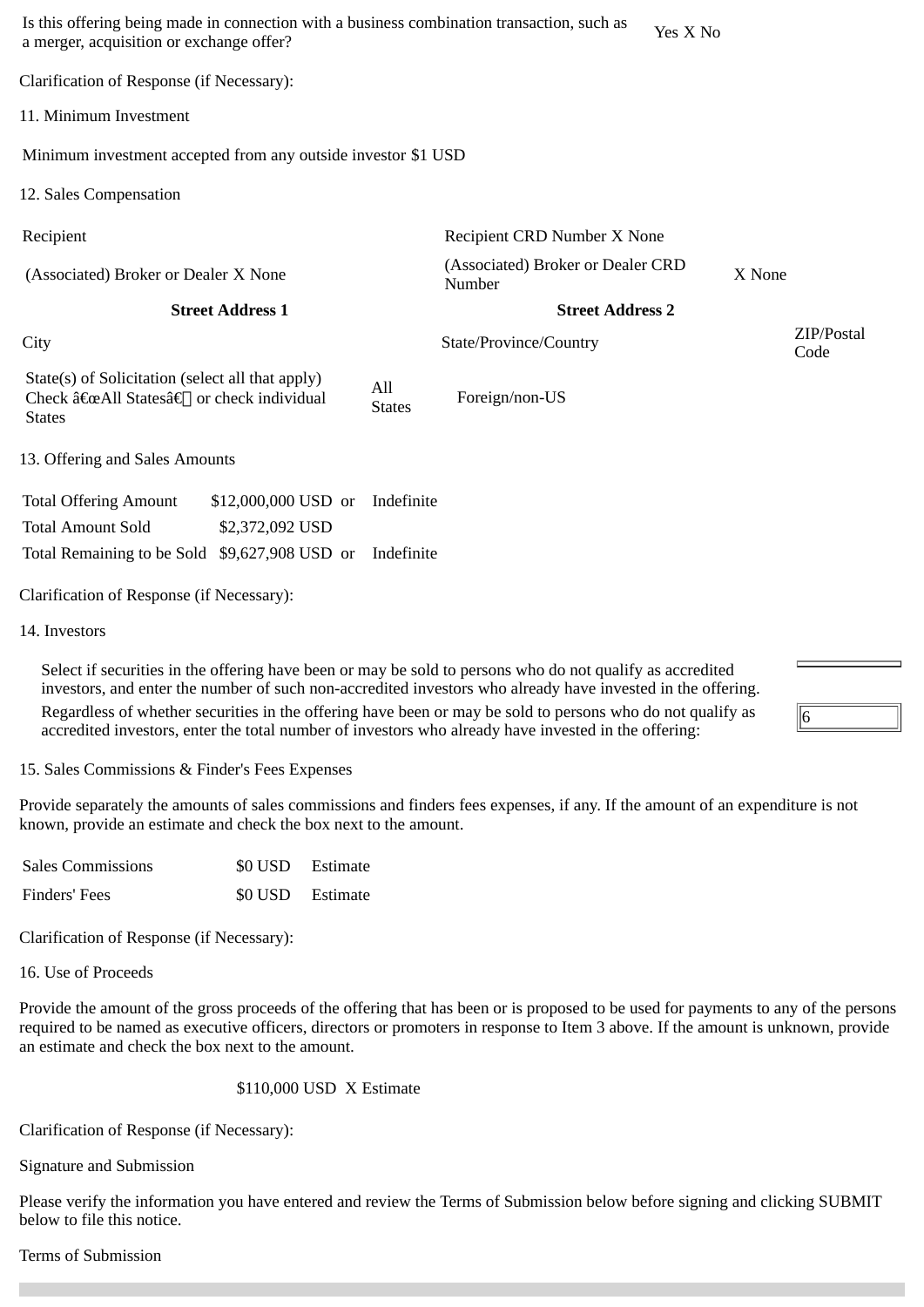| Is this offering being made in connection with a business combination transaction, such as<br>a merger, acquisition or exchange offer? |                                             | Yes X No                |                    |
|----------------------------------------------------------------------------------------------------------------------------------------|---------------------------------------------|-------------------------|--------------------|
| Clarification of Response (if Necessary):                                                                                              |                                             |                         |                    |
| 11. Minimum Investment                                                                                                                 |                                             |                         |                    |
| Minimum investment accepted from any outside investor \$1 USD                                                                          |                                             |                         |                    |
| 12. Sales Compensation                                                                                                                 |                                             |                         |                    |
| Recipient                                                                                                                              | Recipient CRD Number X None                 |                         |                    |
| (Associated) Broker or Dealer X None                                                                                                   | (Associated) Broker or Dealer CRD<br>Number |                         | X None             |
| <b>Street Address 1</b>                                                                                                                |                                             | <b>Street Address 2</b> |                    |
|                                                                                                                                        |                                             |                         |                    |
| City                                                                                                                                   | State/Province/Country                      |                         | ZIP/Postal<br>Code |
| State(s) of Solicitation (select all that apply)<br>Check "All Statesâ€∏ or check individual<br><b>States</b>                          | All<br>Foreign/non-US<br><b>States</b>      |                         |                    |
| 13. Offering and Sales Amounts                                                                                                         |                                             |                         |                    |
| <b>Total Offering Amount</b><br>\$12,000,000 USD or                                                                                    | Indefinite                                  |                         |                    |
| <b>Total Amount Sold</b><br>\$2,372,092 USD                                                                                            |                                             |                         |                    |
| Total Remaining to be Sold \$9,627,908 USD or                                                                                          | Indefinite                                  |                         |                    |

14. Investors

Select if securities in the offering have been or may be sold to persons who do not qualify as accredited investors, and enter the number of such non-accredited investors who already have invested in the offering. Regardless of whether securities in the offering have been or may be sold to persons who do not qualify as accredited investors, enter the total number of investors who already have invested in the offering:

15. Sales Commissions & Finder's Fees Expenses

Provide separately the amounts of sales commissions and finders fees expenses, if any. If the amount of an expenditure is not known, provide an estimate and check the box next to the amount.

6

| <b>Sales Commissions</b> | \$0 USD Estimate |  |
|--------------------------|------------------|--|
| Finders' Fees            | \$0 USD Estimate |  |

Clarification of Response (if Necessary):

16. Use of Proceeds

Provide the amount of the gross proceeds of the offering that has been or is proposed to be used for payments to any of the persons required to be named as executive officers, directors or promoters in response to Item 3 above. If the amount is unknown, provide an estimate and check the box next to the amount.

# \$110,000 USD X Estimate

Clarification of Response (if Necessary):

Signature and Submission

Please verify the information you have entered and review the Terms of Submission below before signing and clicking SUBMIT below to file this notice.

# Terms of Submission